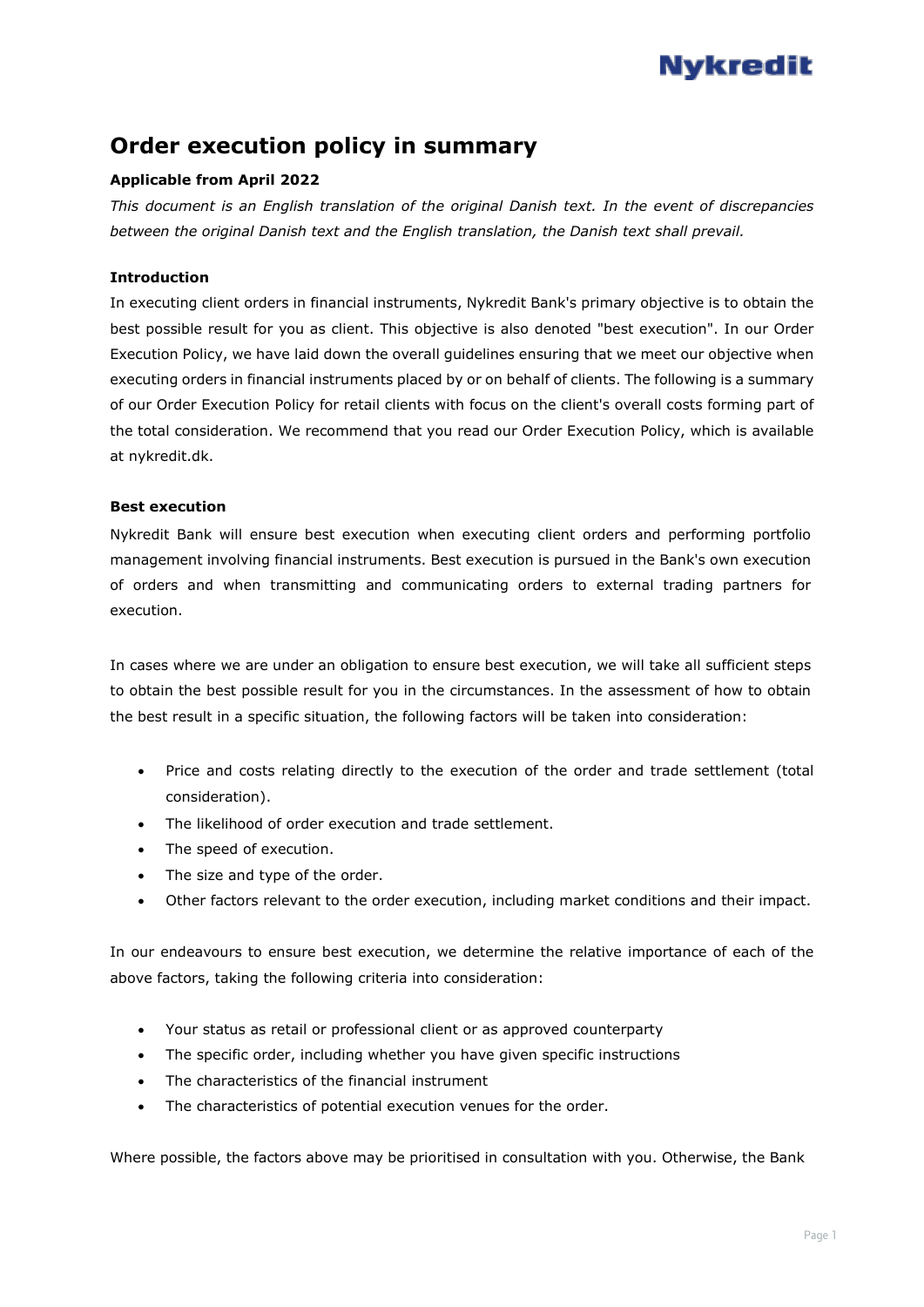# **Nykredit**

## **Order execution policy in summary**

### **Applicable from April 2022**

*This document is an English translation of the original Danish text. In the event of discrepancies between the original Danish text and the English translation, the Danish text shall prevail.*

#### **Introduction**

In executing client orders in financial instruments, Nykredit Bank's primary objective is to obtain the best possible result for you as client. This objective is also denoted "best execution". In our Order Execution Policy, we have laid down the overall guidelines ensuring that we meet our objective when executing orders in financial instruments placed by or on behalf of clients. The following is a summary of our Order Execution Policy for retail clients with focus on the client's overall costs forming part of the total consideration. We recommend that you read our Order Execution Policy, which is available at nykredit.dk.

#### **Best execution**

Nykredit Bank will ensure best execution when executing client orders and performing portfolio management involving financial instruments. Best execution is pursued in the Bank's own execution of orders and when transmitting and communicating orders to external trading partners for execution.

In cases where we are under an obligation to ensure best execution, we will take all sufficient steps to obtain the best possible result for you in the circumstances. In the assessment of how to obtain the best result in a specific situation, the following factors will be taken into consideration:

- Price and costs relating directly to the execution of the order and trade settlement (total consideration).
- The likelihood of order execution and trade settlement.
- The speed of execution.
- The size and type of the order.
- Other factors relevant to the order execution, including market conditions and their impact.

In our endeavours to ensure best execution, we determine the relative importance of each of the above factors, taking the following criteria into consideration:

- Your status as retail or professional client or as approved counterparty
- The specific order, including whether you have given specific instructions
- The characteristics of the financial instrument
- The characteristics of potential execution venues for the order.

Where possible, the factors above may be prioritised in consultation with you. Otherwise, the Bank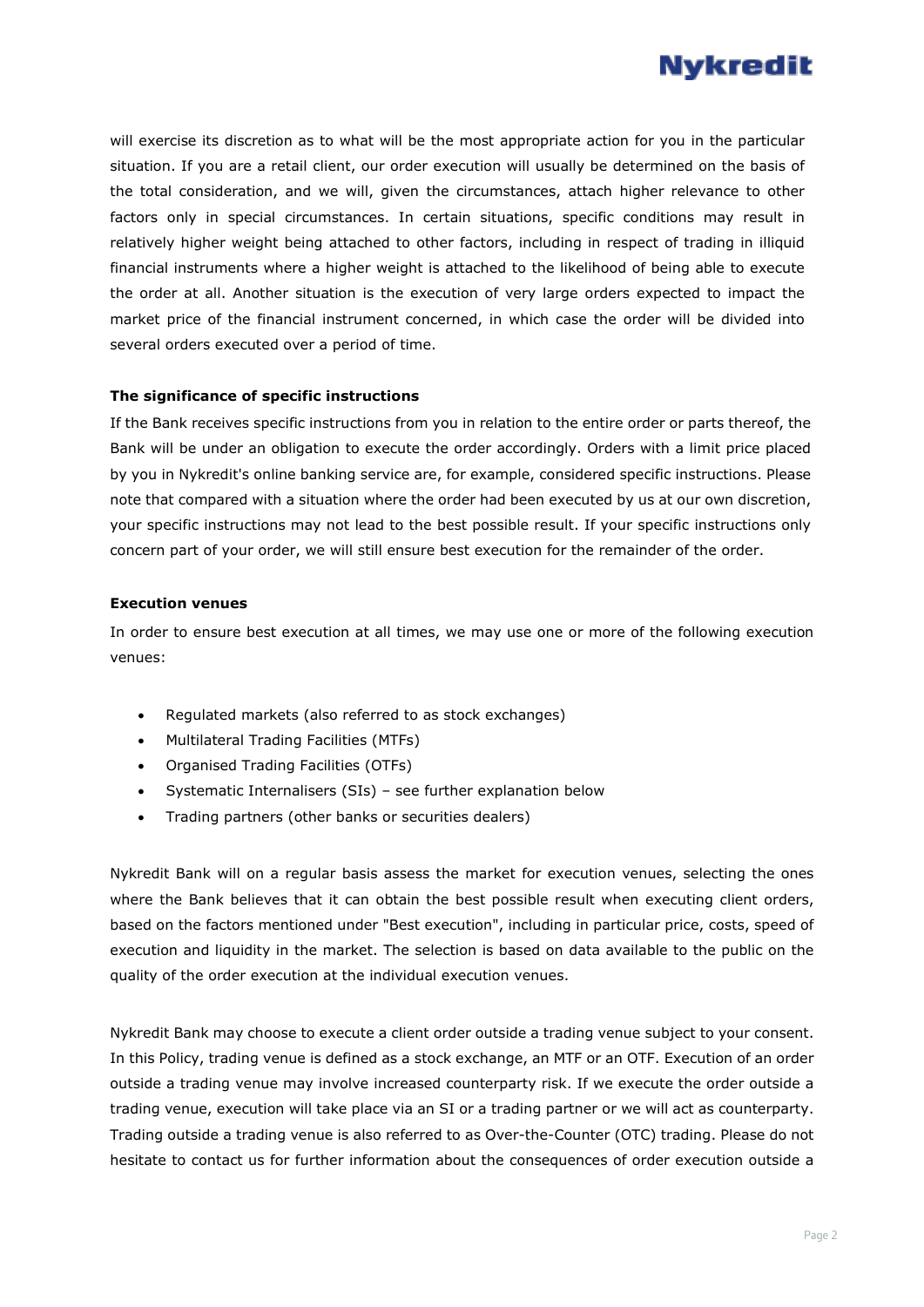

will exercise its discretion as to what will be the most appropriate action for you in the particular situation. If you are a retail client, our order execution will usually be determined on the basis of the total consideration, and we will, given the circumstances, attach higher relevance to other factors only in special circumstances. In certain situations, specific conditions may result in relatively higher weight being attached to other factors, including in respect of trading in illiquid financial instruments where a higher weight is attached to the likelihood of being able to execute the order at all. Another situation is the execution of very large orders expected to impact the market price of the financial instrument concerned, in which case the order will be divided into several orders executed over a period of time.

#### **The significance of specific instructions**

If the Bank receives specific instructions from you in relation to the entire order or parts thereof, the Bank will be under an obligation to execute the order accordingly. Orders with a limit price placed by you in Nykredit's online banking service are, for example, considered specific instructions. Please note that compared with a situation where the order had been executed by us at our own discretion, your specific instructions may not lead to the best possible result. If your specific instructions only concern part of your order, we will still ensure best execution for the remainder of the order.

#### **Execution venues**

In order to ensure best execution at all times, we may use one or more of the following execution venues:

- Regulated markets (also referred to as stock exchanges)
- Multilateral Trading Facilities (MTFs)
- Organised Trading Facilities (OTFs)
- Systematic Internalisers (SIs) see further explanation below
- Trading partners (other banks or securities dealers)

Nykredit Bank will on a regular basis assess the market for execution venues, selecting the ones where the Bank believes that it can obtain the best possible result when executing client orders, based on the factors mentioned under "Best execution", including in particular price, costs, speed of execution and liquidity in the market. The selection is based on data available to the public on the quality of the order execution at the individual execution venues.

Nykredit Bank may choose to execute a client order outside a trading venue subject to your consent. In this Policy, trading venue is defined as a stock exchange, an MTF or an OTF. Execution of an order outside a trading venue may involve increased counterparty risk. If we execute the order outside a trading venue, execution will take place via an SI or a trading partner or we will act as counterparty. Trading outside a trading venue is also referred to as Over-the-Counter (OTC) trading. Please do not hesitate to contact us for further information about the consequences of order execution outside a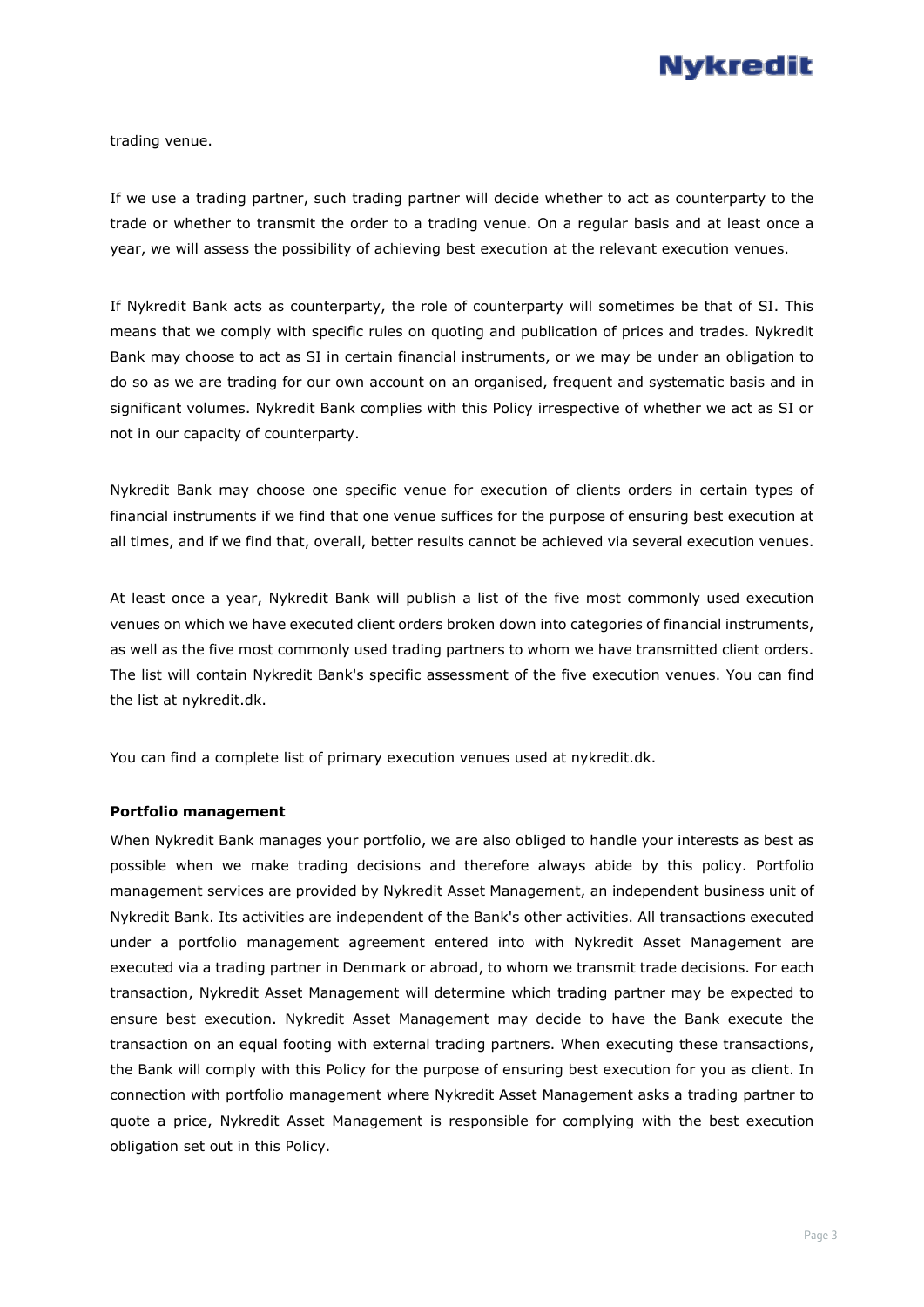

trading venue.

If we use a trading partner, such trading partner will decide whether to act as counterparty to the trade or whether to transmit the order to a trading venue. On a regular basis and at least once a year, we will assess the possibility of achieving best execution at the relevant execution venues.

If Nykredit Bank acts as counterparty, the role of counterparty will sometimes be that of SI. This means that we comply with specific rules on quoting and publication of prices and trades. Nykredit Bank may choose to act as SI in certain financial instruments, or we may be under an obligation to do so as we are trading for our own account on an organised, frequent and systematic basis and in significant volumes. Nykredit Bank complies with this Policy irrespective of whether we act as SI or not in our capacity of counterparty.

Nykredit Bank may choose one specific venue for execution of clients orders in certain types of financial instruments if we find that one venue suffices for the purpose of ensuring best execution at all times, and if we find that, overall, better results cannot be achieved via several execution venues.

At least once a year, Nykredit Bank will publish a list of the five most commonly used execution venues on which we have executed client orders broken down into categories of financial instruments, as well as the five most commonly used trading partners to whom we have transmitted client orders. The list will contain Nykredit Bank's specific assessment of the five execution venues. You can find the list at nykredit.dk.

You can find a complete list of primary execution venues used at nykredit.dk.

#### **Portfolio management**

When Nykredit Bank manages your portfolio, we are also obliged to handle your interests as best as possible when we make trading decisions and therefore always abide by this policy. Portfolio management services are provided by Nykredit Asset Management, an independent business unit of Nykredit Bank. Its activities are independent of the Bank's other activities. All transactions executed under a portfolio management agreement entered into with Nykredit Asset Management are executed via a trading partner in Denmark or abroad, to whom we transmit trade decisions. For each transaction, Nykredit Asset Management will determine which trading partner may be expected to ensure best execution. Nykredit Asset Management may decide to have the Bank execute the transaction on an equal footing with external trading partners. When executing these transactions, the Bank will comply with this Policy for the purpose of ensuring best execution for you as client. In connection with portfolio management where Nykredit Asset Management asks a trading partner to quote a price, Nykredit Asset Management is responsible for complying with the best execution obligation set out in this Policy.